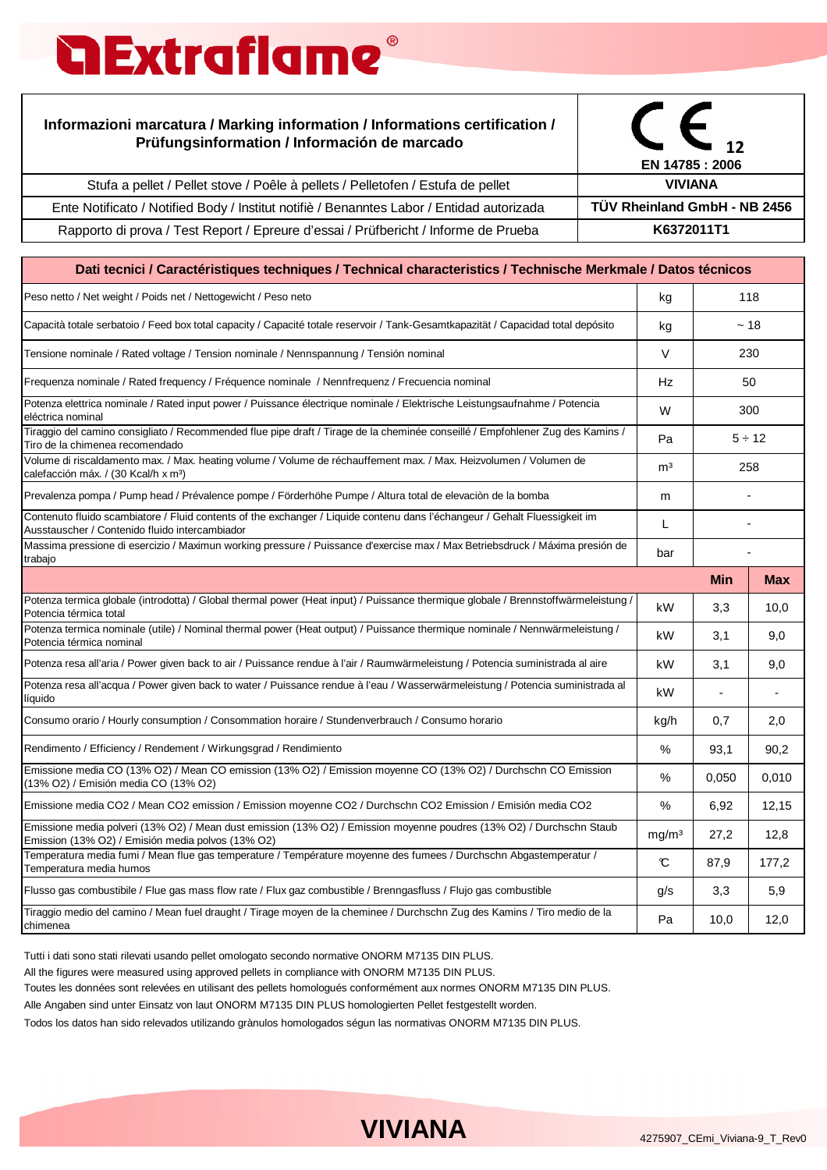## **a Extraflame**

## **Informazioni marcatura / Marking information / Informations certification / Prüfungsinformation / Información de marcado**

Rapporto di prova / Test Report / Epreure d'essai / Prüfbericht / Informe de Prueba

| Prüfungsinformation / Información de marcado                                              | $\sim$ 12                    |
|-------------------------------------------------------------------------------------------|------------------------------|
|                                                                                           | EN 14785: 2006               |
| Stufa a pellet / Pellet stove / Poêle à pellets / Pelletofen / Estufa de pellet           | <b>VIVIANA</b>               |
| Ente Notificato / Notified Body / Institut notifie / Benanntes Labor / Entidad autorizada | TÜV Rheinland GmbH - NB 2456 |

**K6372011T1**

 $\epsilon$ 

kg kg  $\vee$ Hz W Pa m<sup>3</sup> m  $\mathbf{L}$ bar **Min Max**  $kW$  3.3  $10.0$  $kW$  3.1 9.0  $kW$  31 90  $kW$  -  $kg/h$  0,7 2,0 % 93,1 90,2 % 0,050 0,010  $%$  6,92 12,15  $mq/m<sup>3</sup>$  27,2 12,8  $\mathbb{C}$  | 87.9 | 177.2  $g/s$  3,3 5.9 Pa | 10,0 | 12,0  $5 \div 12$ Capacità totale serbatoio / Feed box total capacity / Capacité totale reservoir / Tank-Gesamtkapazität / Capacidad total depósito 118  $~18$ 50 300 Frequenza nominale / Rated frequency / Fréquence nominale / Nennfrequenz / Frecuencia nominal Potenza elettrica nominale / Rated input power / Puissance électrique nominale / Elektrische Leistungsaufnahme / Potencia eléctrica nominal Peso netto / Net weight / Poids net / Nettogewicht / Peso neto Tiraggio del camino consigliato / Recommended flue pipe draft / Tirage de la cheminée conseillé / Empfohlener Zug des Kamins / Tiro de la chimenea recomendado Consumo orario / Hourly consumption / Consommation horaire / Stundenverbrauch / Consumo horario Potenza resa all'acqua / Power given back to water / Puissance rendue à l'eau / Wasserwärmeleistung / Potencia suministrada al líquido Potenza resa all'aria / Power given back to air / Puissance rendue à l'air / Raumwärmeleistung / Potencia suministrada al aire Potenza termica globale (introdotta) / Global thermal power (Heat input) / Puissance thermique globale / Brennstoffwärmeleistung / Potencia térmica total Emissione media CO2 / Mean CO2 emission / Emission moyenne CO2 / Durchschn CO2 Emission / Emisión media CO2 Temperatura media fumi / Mean flue gas temperature / Température moyenne des fumees / Durchschn Abgastemperatur / Temperatura media humos Flusso gas combustibile / Flue gas mass flow rate / Flux gaz combustible / Brenngasfluss / Flujo gas combustible Potenza termica nominale (utile) / Nominal thermal power (Heat output) / Puissance thermique nominale / Nennwärmeleistung / Potencia térmica nominal Tiraggio medio del camino / Mean fuel draught / Tirage moyen de la cheminee / Durchschn Zug des Kamins / Tiro medio de la chimenea 258 **Dati tecnici / Caractéristiques techniques / Technical characteristics / Technische Merkmale / Datos técnicos** Volume di riscaldamento max. / Max. heating volume / Volume de réchauffement max. / Max. Heizvolumen / Volumen de calefacción máx. / (30 Kcal/h x m<sup>3</sup>) Emissione media polveri (13% O2) / Mean dust emission (13% O2) / Emission moyenne poudres (13% O2) / Durchschn Staub Emission (13% O2) / Emisión media polvos (13% O2) Tensione nominale / Rated voltage / Tension nominale / Nennspannung / Tensión nominal 230 Contenuto fluido scambiatore / Fluid contents of the exchanger / Liquide contenu dans l'échangeur / Gehalt Fluessigkeit im Ausstauscher / Contenido fluido intercambiador Prevalenza pompa / Pump head / Prévalence pompe / Förderhöhe Pumpe / Altura total de elevaciòn de la bomba - - - Rendimento / Efficiency / Rendement / Wirkungsgrad / Rendimiento Emissione media CO (13% O2) / Mean CO emission (13% O2) / Emission moyenne CO (13% O2) / Durchschn CO Emission (13% O2) / Emisión media CO (13% O2) Massima pressione di esercizio / Maximun working pressure / Puissance d'exercise max / Max Betriebsdruck / Máxima presión de trabajo

Tutti i dati sono stati rilevati usando pellet omologato secondo normative ONORM M7135 DIN PLUS.

All the figures were measured using approved pellets in compliance with ONORM M7135 DIN PLUS.

Toutes les données sont relevées en utilisant des pellets homologués conformément aux normes ONORM M7135 DIN PLUS.

Alle Angaben sind unter Einsatz von laut ONORM M7135 DIN PLUS homologierten Pellet festgestellt worden.

Todos los datos han sido relevados utilizando grànulos homologados ségun las normativas ONORM M7135 DIN PLUS.



**MELINDA IDRO MELINDA IDRO**